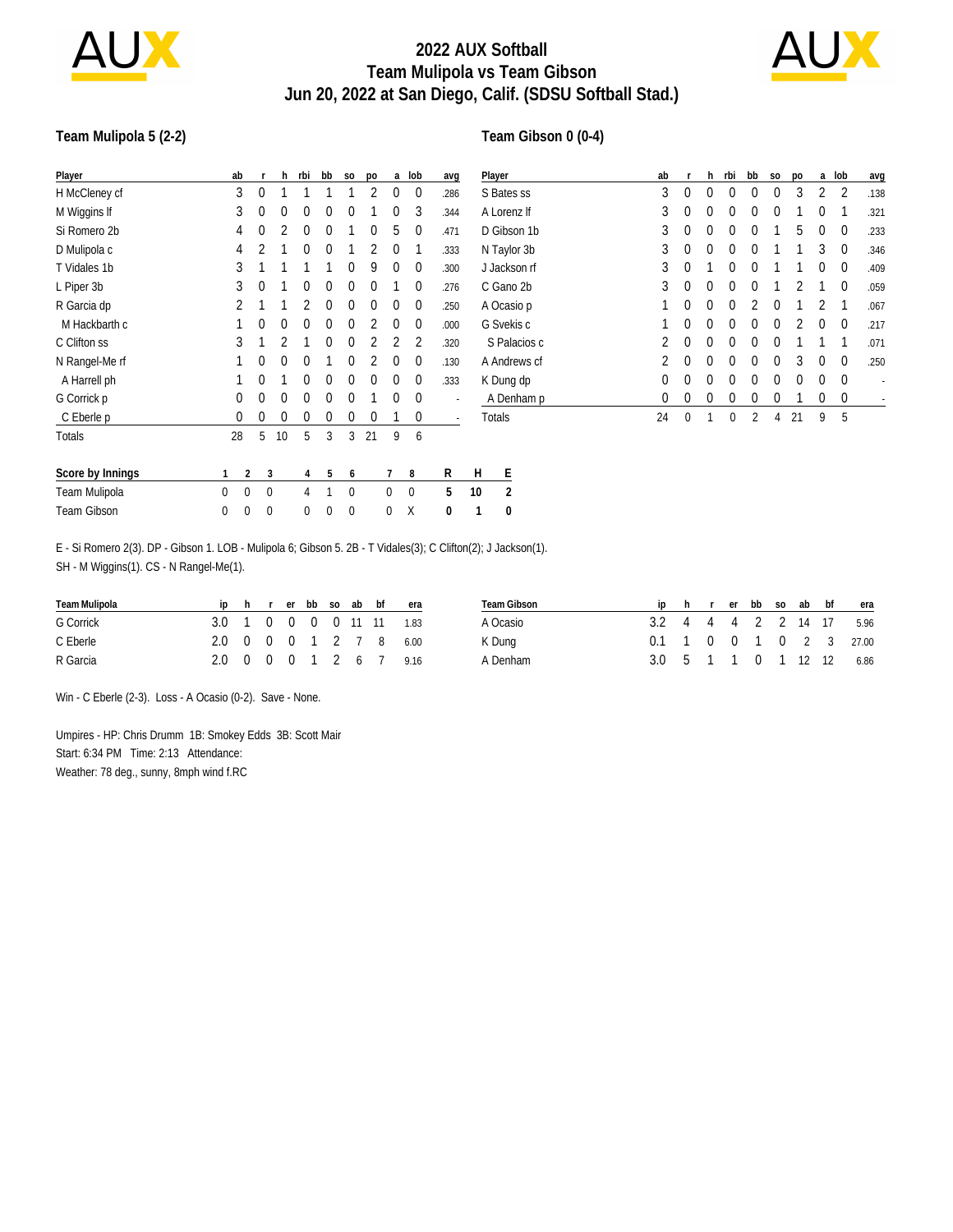

# **2022 AUX Softball Team Mulipola vs Team Gibson Jun 20, 2022 at San Diego, Calif. (SDSU Softball Stad.)**



#### **Team Mulipola 5 (2-2)**

### **Team Gibson 0 (0-4)**

| Player                                                                                                                                                   | ab                          |             | h           | rbi         | bb          | <b>SO</b>        | po          | a        | lob              | avg                      |              | Player       | ab          |             | h.           | rbi          | bb             | S <sub>0</sub> | po       |              | a lob          | avg                      |
|----------------------------------------------------------------------------------------------------------------------------------------------------------|-----------------------------|-------------|-------------|-------------|-------------|------------------|-------------|----------|------------------|--------------------------|--------------|--------------|-------------|-------------|--------------|--------------|----------------|----------------|----------|--------------|----------------|--------------------------|
| H McCleney cf                                                                                                                                            | 3                           | $\mathbf 0$ |             |             |             |                  | 2           | 0        | $\mathbf 0$      | .286                     |              | S Bates ss   | 3           | $\mathbf 0$ | $\Omega$     | $\Omega$     | $\Omega$       | $\Omega$       | 3        | 2            | $\overline{2}$ | .138                     |
| M Wiggins If                                                                                                                                             | 3                           | $\theta$    | $\Omega$    | $^{0}$      | $\Omega$    | $\theta$         |             | $\Omega$ | 3                | .344                     | A Lorenz If  |              | 3           | 0           | $\Omega$     | $\Omega$     | $\Omega$       | $\Omega$       |          | $\Omega$     |                | .321                     |
| Si Romero 2b                                                                                                                                             | 4                           | 0           |             | 0           | 0           |                  | 0           | 5        | 0                | .471                     |              | D Gibson 1b  | 3           | 0           | $\Omega$     | $\Omega$     | $\Omega$       |                | 5        | $\Omega$     | $\mathbf 0$    | .233                     |
| D Mulipola c                                                                                                                                             | 4                           |             |             | $^{0}$      | $\Omega$    |                  |             | $\Omega$ |                  | .333                     |              | N Taylor 3b  | 3           | 0           | $\Omega$     | $\Omega$     | $\Omega$       |                |          | 3            | 0              | .346                     |
| T Vidales 1b                                                                                                                                             | 3                           |             |             |             |             | $\Omega$         | 9           | 0        | $\overline{0}$   | .300                     |              | J Jackson rf | 3           |             |              | $\Omega$     |                |                |          | $\Omega$     | $\mathbf 0$    | .409                     |
| L Piper 3b                                                                                                                                               | 3                           | 0           |             | 0           | 0           | 0                | 0           |          | $\mathbf{0}$     | .276                     |              | C Gano 2b    | 3           | 0           | $\Omega$     | $\Omega$     | $\Omega$       |                |          |              | 0              | .059                     |
| R Garcia dp                                                                                                                                              |                             |             |             |             | 0           | 0                | $\mathbf 0$ | 0        | 0                | .250                     |              | A Ocasio p   |             | $\Omega$    | $\Omega$     | $\Omega$     |                | $\Omega$       |          |              |                | .067                     |
| M Hackbarth c                                                                                                                                            |                             | 0           | $\Omega$    | $\Omega$    | $\theta$    | $\theta$         |             | $\theta$ | $\mathbf 0$      | .000                     |              | G Svekis c   |             | 0           | $\mathbf{0}$ | $\Omega$     | $\theta$       | $\mathbf{0}$   |          | $\Omega$     | $\mathbf 0$    | .217                     |
| C Clifton ss                                                                                                                                             | 3                           |             |             |             | $\Omega$    | $\Omega$         | 2           | 2        | 2                | .320                     |              | S Palacios c | 2           | 0           | $\Omega$     | $\Omega$     | $\Omega$       | $\Omega$       |          |              |                | .071                     |
| N Rangel-Me rf                                                                                                                                           |                             | 0           | 0           | 0           |             | 0                |             | 0        | -0               | .130                     | A Andrews cf |              |             | 0           | $\Omega$     | 0            | 0              | $\Omega$       | 3        | $\Omega$     | 0              | .250                     |
| A Harrell ph                                                                                                                                             |                             | 0           |             | 0           | 0           | 0                | 0           | 0        | $\mathbf 0$      | .333                     | K Dung dp    |              |             | $\mathbf 0$ | $\mathbf 0$  | $\mathbf 0$  | $\mathbf 0$    | $\mathbf 0$    | $\theta$ | $\mathbf{0}$ | $\mathbf 0$    | $\overline{\phantom{a}}$ |
| G Corrick p                                                                                                                                              | 0                           | 0           | $\Omega$    | $^{0}$      | $\Omega$    | $\Omega$         |             | $\Omega$ | 0                | $\overline{\phantom{a}}$ |              | A Denham p   | $\mathbf 0$ | 0           | 0            | 0            | 0              | 0              |          | 0            | 0              |                          |
| C Eberle p                                                                                                                                               | 0                           | 0           | $\mathbf 0$ | 0           | $\mathbf 0$ | 0                | $\mathbf 0$ |          | $\boldsymbol{0}$ |                          |              | Totals       | 24          | $\mathbf 0$ | $\mathbf{1}$ | $\mathbf{0}$ | $\overline{2}$ | 4              | 21       | 9            | 5              |                          |
| Totals                                                                                                                                                   | 28                          | 5           | 10          | 5           | 3           | 3                | 21          | 9        | 6                |                          |              |              |             |             |              |              |                |                |          |              |                |                          |
| Score by Innings                                                                                                                                         | 2                           | 3           |             | 4           | 5           | 6                |             |          | 8                | R                        | H            | E            |             |             |              |              |                |                |          |              |                |                          |
| Team Mulipola                                                                                                                                            | $\mathbf 0$<br>$\mathbf{0}$ | $\mathbf 0$ |             | 4           |             | $\mathbf 0$      |             | 0        | $\boldsymbol{0}$ | 5                        | 10           | 2            |             |             |              |              |                |                |          |              |                |                          |
| Team Gibson                                                                                                                                              | 0<br>0                      | $\mathbf 0$ |             | $\mathbf 0$ | 0           | $\boldsymbol{0}$ |             | 0        | Χ                | 0                        |              | $\mathbf{0}$ |             |             |              |              |                |                |          |              |                |                          |
| E - Si Romero 2(3). DP - Gibson 1. LOB - Mulipola 6; Gibson 5. 2B - T Vidales(3); C Clifton(2); J Jackson(1).<br>SH - M Wiggins(1). CS - N Rangel-Me(1). |                             |             |             |             |             |                  |             |          |                  |                          |              |              |             |             |              |              |                |                |          |              |                |                          |

| Team Mulipola | $\mathsf{I} \mathsf{D}$ |  | r er bb so | ab | bt              | era  | Team Gibson | ID                  |  | hrerbbso       | ab      | bf | era                     |
|---------------|-------------------------|--|------------|----|-----------------|------|-------------|---------------------|--|----------------|---------|----|-------------------------|
| G Corrick     | 3.0 1 0 0 0 0 11 11     |  |            |    |                 | 1.83 | A Ocasio-   | 3.2 4 4 4 2 2 14 17 |  |                |         |    | 5.96                    |
| C Eberle      | 2.0 0 0 0 1 2 7 8       |  |            |    |                 | 6.00 | K Dung      |                     |  |                |         |    | 0.1 1 0 0 1 0 2 3 27.00 |
| R Garcia      | 2 O.                    |  |            |    | , 0 0 0 1 2 6 7 | 9.16 | Denham      | 3.0 5 1 1           |  | $\overline{0}$ | 1 12 12 |    | 6.86                    |

Win - C Eberle (2-3). Loss - A Ocasio (0-2). Save - None.

Umpires - HP: Chris Drumm 1B: Smokey Edds 3B: Scott Mair Start: 6:34 PM Time: 2:13 Attendance: Weather: 78 deg., sunny, 8mph wind f.RC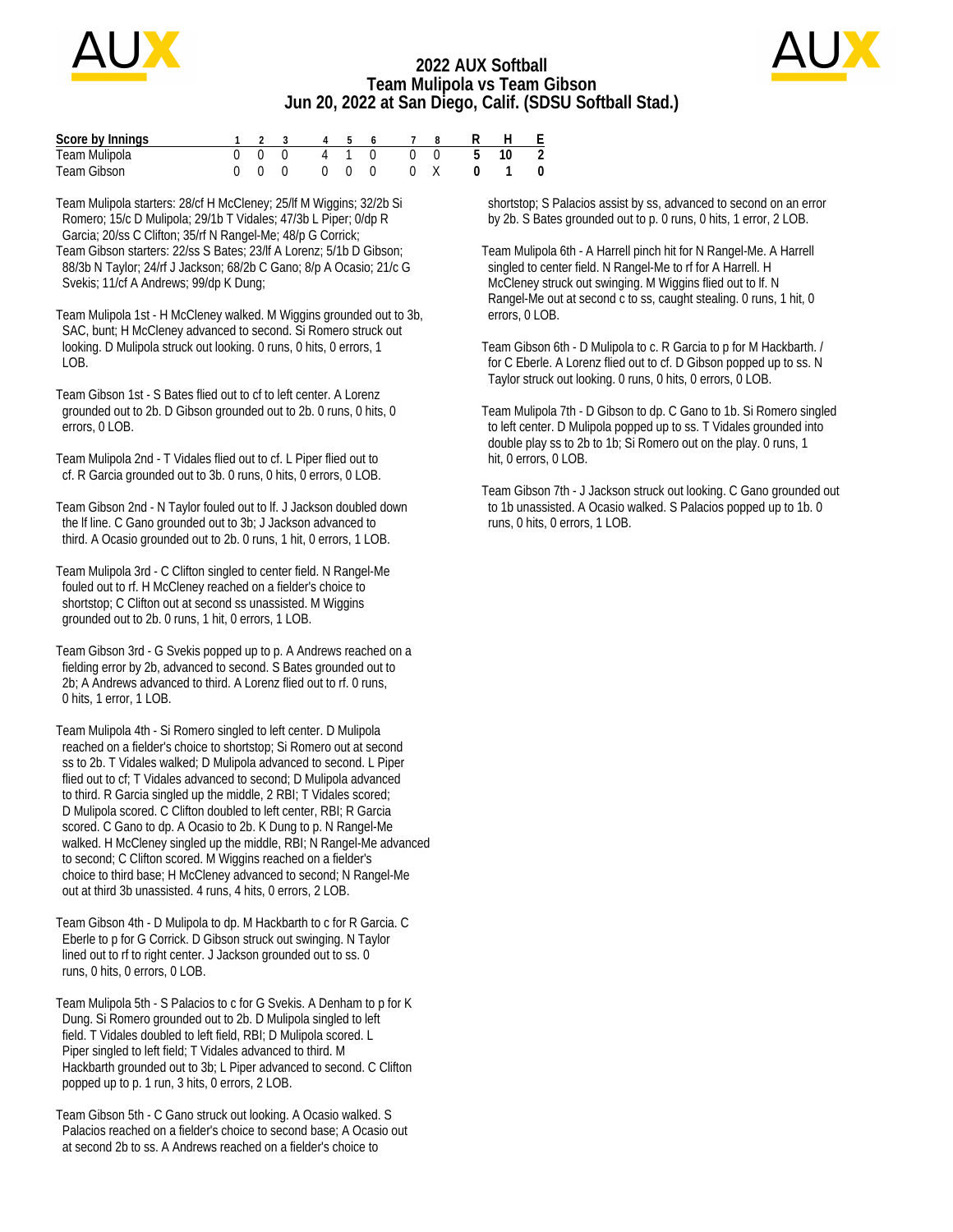

### **2022 AUX Softball Team Mulipola vs Team Gibson Jun 20, 2022 at San Diego, Calif. (SDSU Softball Stad.)**



| Score by Innings |  |  |  |  | 1 2 3 4 5 6 7 8 R H E |                    |
|------------------|--|--|--|--|-----------------------|--------------------|
| Team Mulipola    |  |  |  |  | 0 0 0 4 1 0 0 0 5 10  | $\overline{2}$     |
| Team Gibson      |  |  |  |  | 000 000 0X 01         | $\hspace{0.1em} 0$ |

Team Mulipola starters: 28/cf H McCleney; 25/lf M Wiggins; 32/2b Si Romero; 15/c D Mulipola; 29/1b T Vidales; 47/3b L Piper; 0/dp R Garcia; 20/ss C Clifton; 35/rf N Rangel-Me; 48/p G Corrick; Team Gibson starters: 22/ss S Bates; 23/lf A Lorenz; 5/1b D Gibson; 88/3b N Taylor; 24/rf J Jackson; 68/2b C Gano; 8/p A Ocasio; 21/c G Svekis; 11/cf A Andrews; 99/dp K Dung;

Team Mulipola 1st - H McCleney walked. M Wiggins grounded out to 3b, SAC, bunt; H McCleney advanced to second. Si Romero struck out looking. D Mulipola struck out looking. 0 runs, 0 hits, 0 errors, 1  $LOB$ .

Team Gibson 1st - S Bates flied out to cf to left center. A Lorenz grounded out to 2b. D Gibson grounded out to 2b. 0 runs, 0 hits, 0 errors, 0 LOB.

Team Mulipola 2nd - T Vidales flied out to cf. L Piper flied out to cf. R Garcia grounded out to 3b. 0 runs, 0 hits, 0 errors, 0 LOB.

Team Gibson 2nd - N Taylor fouled out to lf. J Jackson doubled down the lf line. C Gano grounded out to 3b; J Jackson advanced to third. A Ocasio grounded out to 2b. 0 runs, 1 hit, 0 errors, 1 LOB.

Team Mulipola 3rd - C Clifton singled to center field. N Rangel-Me fouled out to rf. H McCleney reached on a fielder's choice to shortstop; C Clifton out at second ss unassisted. M Wiggins grounded out to 2b. 0 runs, 1 hit, 0 errors, 1 LOB.

Team Gibson 3rd - G Svekis popped up to p. A Andrews reached on a fielding error by 2b, advanced to second. S Bates grounded out to 2b; A Andrews advanced to third. A Lorenz flied out to rf. 0 runs, 0 hits, 1 error, 1 LOB.

Team Mulipola 4th - Si Romero singled to left center. D Mulipola reached on a fielder's choice to shortstop; Si Romero out at second ss to 2b. T Vidales walked; D Mulipola advanced to second. L Piper flied out to cf; T Vidales advanced to second; D Mulipola advanced to third. R Garcia singled up the middle, 2 RBI; T Vidales scored; D Mulipola scored. C Clifton doubled to left center, RBI; R Garcia scored. C Gano to dp. A Ocasio to 2b. K Dung to p. N Rangel-Me walked. H McCleney singled up the middle, RBI; N Rangel-Me advanced to second; C Clifton scored. M Wiggins reached on a fielder's choice to third base; H McCleney advanced to second; N Rangel-Me out at third 3b unassisted. 4 runs, 4 hits, 0 errors, 2 LOB.

Team Gibson 4th - D Mulipola to dp. M Hackbarth to c for R Garcia. C Eberle to p for G Corrick. D Gibson struck out swinging. N Taylor lined out to rf to right center. J Jackson grounded out to ss. 0 runs, 0 hits, 0 errors, 0 LOB.

Team Mulipola 5th - S Palacios to c for G Svekis. A Denham to p for K Dung. Si Romero grounded out to 2b. D Mulipola singled to left field. T Vidales doubled to left field, RBI; D Mulipola scored. L Piper singled to left field; T Vidales advanced to third. M Hackbarth grounded out to 3b; L Piper advanced to second. C Clifton popped up to p. 1 run, 3 hits, 0 errors, 2 LOB.

Team Gibson 5th - C Gano struck out looking. A Ocasio walked. S Palacios reached on a fielder's choice to second base; A Ocasio out at second 2b to ss. A Andrews reached on a fielder's choice to

 shortstop; S Palacios assist by ss, advanced to second on an error by 2b. S Bates grounded out to p. 0 runs, 0 hits, 1 error, 2 LOB.

Team Mulipola 6th - A Harrell pinch hit for N Rangel-Me. A Harrell singled to center field. N Rangel-Me to rf for A Harrell. H McCleney struck out swinging. M Wiggins flied out to lf. N Rangel-Me out at second c to ss, caught stealing. 0 runs, 1 hit, 0 errors, 0 LOB.

Team Gibson 6th - D Mulipola to c. R Garcia to p for M Hackbarth. / for C Eberle. A Lorenz flied out to cf. D Gibson popped up to ss. N Taylor struck out looking. 0 runs, 0 hits, 0 errors, 0 LOB.

Team Mulipola 7th - D Gibson to dp. C Gano to 1b. Si Romero singled to left center. D Mulipola popped up to ss. T Vidales grounded into double play ss to 2b to 1b; Si Romero out on the play. 0 runs, 1 hit, 0 errors, 0 LOB.

Team Gibson 7th - J Jackson struck out looking. C Gano grounded out to 1b unassisted. A Ocasio walked. S Palacios popped up to 1b. 0 runs, 0 hits, 0 errors, 1 LOB.